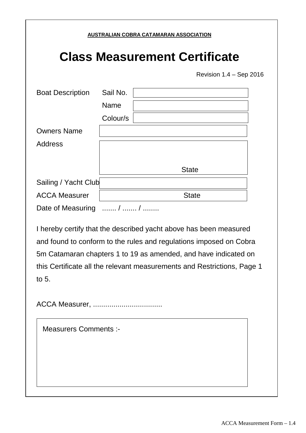#### **AUSTRALIAN COBRA CATAMARAN ASSOCIATION**

# **Class Measurement Certificate**

Revision 1.4 – Sep 2016

| <b>Boat Description</b> | Sail No.    |              |
|-------------------------|-------------|--------------|
|                         | <b>Name</b> |              |
|                         | Colour/s    |              |
| <b>Owners Name</b>      |             |              |
| <b>Address</b>          |             |              |
|                         |             |              |
|                         |             | <b>State</b> |
| Sailing / Yacht Club    |             |              |
| <b>ACCA Measurer</b>    |             | <b>State</b> |
| Date of Measuring       | /  /        |              |

I hereby certify that the described yacht above has been measured and found to conform to the rules and regulations imposed on Cobra 5m Catamaran chapters 1 to 19 as amended, and have indicated on this Certificate all the relevant measurements and Restrictions, Page 1 to 5.

ACCA Measurer, ..................................

Measurers Comments :-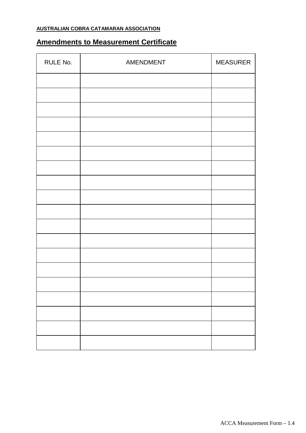#### **AUSTRALIAN COBRA CATAMARAN ASSOCIATION**

## **Amendments to Measurement Certificate**

| RULE No. | AMENDMENT | <b>MEASURER</b> |
|----------|-----------|-----------------|
|          |           |                 |
|          |           |                 |
|          |           |                 |
|          |           |                 |
|          |           |                 |
|          |           |                 |
|          |           |                 |
|          |           |                 |
|          |           |                 |
|          |           |                 |
|          |           |                 |
|          |           |                 |
|          |           |                 |
|          |           |                 |
|          |           |                 |
|          |           |                 |
|          |           |                 |
|          |           |                 |
|          |           |                 |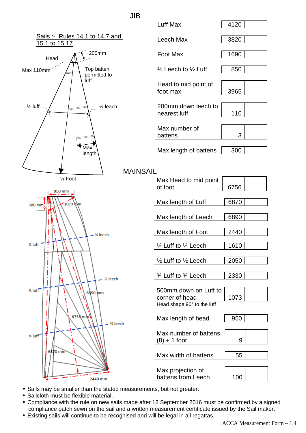### JIB



| 4120 |             |
|------|-------------|
|      |             |
| 3820 |             |
|      |             |
| 1690 |             |
|      |             |
| 850  |             |
|      |             |
|      |             |
|      |             |
|      |             |
|      |             |
|      |             |
|      |             |
|      |             |
| 3    |             |
|      |             |
| 300  |             |
|      | 3965<br>110 |

MAINSAIL

| Max Head to mid point<br>of foot                                      | 6756 |  |
|-----------------------------------------------------------------------|------|--|
| Max length of Luff                                                    | 6870 |  |
| Max length of Leech                                                   | 6890 |  |
| Max length of Foot                                                    | 2440 |  |
| 1⁄4 Luff to 1⁄4 Leech                                                 | 1610 |  |
| $\frac{1}{2}$ Luff to $\frac{1}{2}$ Leech                             | 2050 |  |
| 3⁄4 Luff to 3⁄4 Leech                                                 | 2330 |  |
| 500mm down on Luff to<br>corner of head<br>Head shape 90° to the luff | 1073 |  |
| Max length of head                                                    | 950  |  |
| Max number of battens<br>$(8) + 1$ foot                               | 9    |  |
| Max width of battens                                                  | 55   |  |
| Max projection of<br>battens from Leech                               | 100  |  |

- · Sails may be smaller than the stated measurements, but not greater.
- · Sailcloth must be flexible material.
- · Compliance with the rule on new sails made after 18 September 2016 must be confirmed by a signed compliance patch sewn on the sail and a written measurement certificate issued by the Sail maker.
- · Existing sails will continue to be recognised and will be legal in all regattas.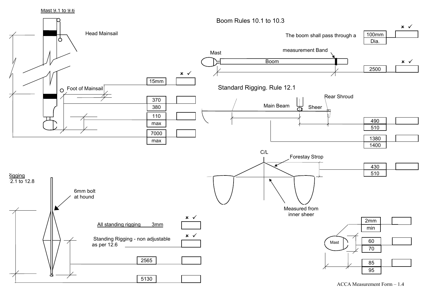Mast 9.1 to 9.6



ACCA Measurement Form – 1.4